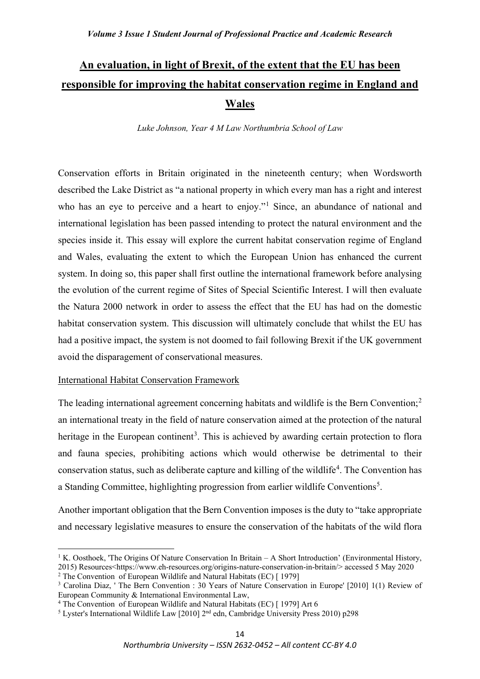# **An evaluation, in light of Brexit, of the extent that the EU has been responsible for improving the habitat conservation regime in England and Wales**

*Luke Johnson, Year 4 M Law Northumbria School of Law* 

Conservation efforts in Britain originated in the nineteenth century; when Wordsworth described the Lake District as "a national property in which every man has a right and interest who has an eye to perceive and a heart to enjoy."<sup>[1](#page-0-0)</sup> Since, an abundance of national and international legislation has been passed intending to protect the natural environment and the species inside it. This essay will explore the current habitat conservation regime of England and Wales, evaluating the extent to which the European Union has enhanced the current system. In doing so, this paper shall first outline the international framework before analysing the evolution of the current regime of Sites of Special Scientific Interest. I will then evaluate the Natura 2000 network in order to assess the effect that the EU has had on the domestic habitat conservation system. This discussion will ultimately conclude that whilst the EU has had a positive impact, the system is not doomed to fail following Brexit if the UK government avoid the disparagement of conservational measures.

# International Habitat Conservation Framework

The leading international agreement concerning habitats and wildlife is the Bern Convention;<sup>[2](#page-0-1)</sup> an international treaty in the field of nature conservation aimed at the protection of the natural heritage in the European continent<sup>[3](#page-0-2)</sup>. This is achieved by awarding certain protection to flora and fauna species, prohibiting actions which would otherwise be detrimental to their conservation status, such as deliberate capture and killing of the wildlife<sup>[4](#page-0-3)</sup>. The Convention has a Standing Committee, highlighting progression from earlier wildlife Conventions<sup>[5](#page-0-4)</sup>.

Another important obligation that the Bern Convention imposes is the duty to "take appropriate and necessary legislative measures to ensure the conservation of the habitats of the wild flora

<span id="page-0-0"></span><sup>&</sup>lt;sup>1</sup> K. Oosthoek, 'The Origins Of Nature Conservation In Britain – A Short Introduction' (Environmental History, 2015) Resources<https://www.eh-resources.org/origins-nature-conservation-in-britain/> accessed 5 May 2020

<span id="page-0-1"></span> $2$  The Convention of European Wildlife and Natural Habitats (EC) [ 1979]

<span id="page-0-2"></span><sup>&</sup>lt;sup>3</sup> Carolina Diaz, ' The Bern Convention : 30 Years of Nature Conservation in Europe' [2010] 1(1) Review of European Community & International Environmental Law,

<span id="page-0-3"></span><sup>&</sup>lt;sup>4</sup> The Convention of European Wildlife and Natural Habitats (EC) [ 1979] Art 6

<span id="page-0-4"></span><sup>&</sup>lt;sup>5</sup> Lyster's International Wildlife Law [2010]  $2<sup>nd</sup>$  edn, Cambridge University Press 2010) p298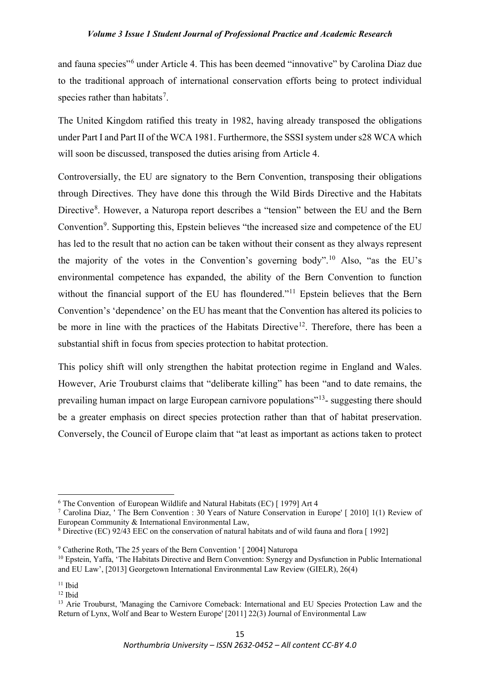and fauna species"[6](#page-1-0) under Article 4. This has been deemed "innovative" by Carolina Diaz due to the traditional approach of international conservation efforts being to protect individual species rather than habitats<sup>[7](#page-1-1)</sup>.

The United Kingdom ratified this treaty in 1982, having already transposed the obligations under Part I and Part II of the WCA 1981. Furthermore, the SSSI system under s28 WCA which will soon be discussed, transposed the duties arising from Article 4.

Controversially, the EU are signatory to the Bern Convention, transposing their obligations through Directives. They have done this through the Wild Birds Directive and the Habitats Directive<sup>[8](#page-1-2)</sup>. However, a Naturopa report describes a "tension" between the EU and the Bern Convention<sup>[9](#page-1-3)</sup>. Supporting this, Epstein believes "the increased size and competence of the EU has led to the result that no action can be taken without their consent as they always represent the majority of the votes in the Convention's governing body".<sup>[10](#page-1-4)</sup> Also, "as the EU's environmental competence has expanded, the ability of the Bern Convention to function without the financial support of the EU has floundered."<sup>[11](#page-1-5)</sup> Epstein believes that the Bern Convention's 'dependence' on the EU has meant that the Convention has altered its policies to be more in line with the practices of the Habitats Directive<sup>12</sup>. Therefore, there has been a substantial shift in focus from species protection to habitat protection.

This policy shift will only strengthen the habitat protection regime in England and Wales. However, Arie Trouburst claims that "deliberate killing" has been "and to date remains, the prevailing human impact on large European carnivore populations"<sup>[13](#page-1-7)</sup>- suggesting there should be a greater emphasis on direct species protection rather than that of habitat preservation. Conversely, the Council of Europe claim that "at least as important as actions taken to protect

<span id="page-1-0"></span><sup>6</sup> The Convention of European Wildlife and Natural Habitats (EC) [ 1979] Art 4

<span id="page-1-1"></span><sup>7</sup> Carolina Diaz, ' The Bern Convention : 30 Years of Nature Conservation in Europe' [ 2010] 1(1) Review of European Community & International Environmental Law,

<span id="page-1-2"></span><sup>8</sup> Directive (EC) 92/43 EEC on the conservation of natural habitats and of wild fauna and flora [ 1992]

<span id="page-1-3"></span><sup>&</sup>lt;sup>9</sup> Catherine Roth, 'The 25 years of the Bern Convention ' [ 2004] Naturopa

<span id="page-1-4"></span><sup>10</sup> Epstein, Yaffa, 'The Habitats Directive and Bern Convention: Synergy and Dysfunction in Public International and EU Law', [2013] Georgetown International Environmental Law Review (GIELR), 26(4)

<span id="page-1-5"></span> $11$  Ibid

<span id="page-1-6"></span> $12$  Ibid

<span id="page-1-7"></span><sup>&</sup>lt;sup>13</sup> Arie Trouburst, 'Managing the Carnivore Comeback: International and EU Species Protection Law and the Return of Lynx, Wolf and Bear to Western Europe' [2011] 22(3) Journal of Environmental Law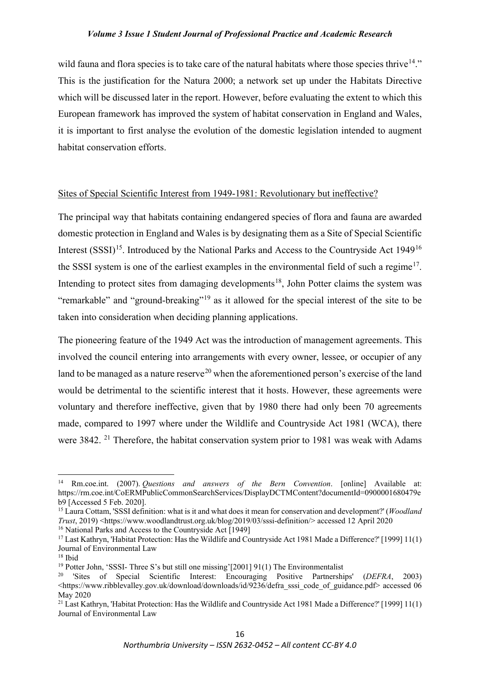wild fauna and flora species is to take care of the natural habitats where those species thrive  $14$ ." This is the justification for the Natura 2000; a network set up under the Habitats Directive which will be discussed later in the report. However, before evaluating the extent to which this European framework has improved the system of habitat conservation in England and Wales, it is important to first analyse the evolution of the domestic legislation intended to augment habitat conservation efforts.

## Sites of Special Scientific Interest from 1949-1981: Revolutionary but ineffective?

The principal way that habitats containing endangered species of flora and fauna are awarded domestic protection in England and Wales is by designating them as a Site of Special Scientific Interest  $(SSSI)^{15}$ . Introduced by the National Parks and Access to the Countryside Act 1949<sup>[16](#page-2-2)</sup> the SSSI system is one of the earliest examples in the environmental field of such a regime<sup>[17](#page-2-3)</sup>. Intending to protect sites from damaging developments<sup>[18](#page-2-4)</sup>, John Potter claims the system was "remarkable" and "ground-breaking"<sup>[19](#page-2-5)</sup> as it allowed for the special interest of the site to be taken into consideration when deciding planning applications.

The pioneering feature of the 1949 Act was the introduction of management agreements. This involved the council entering into arrangements with every owner, lessee, or occupier of any land to be managed as a nature reserve<sup>[20](#page-2-6)</sup> when the aforementioned person's exercise of the land would be detrimental to the scientific interest that it hosts. However, these agreements were voluntary and therefore ineffective, given that by 1980 there had only been 70 agreements made, compared to 1997 where under the Wildlife and Countryside Act 1981 (WCA), there were 3842.<sup>[21](#page-2-7)</sup> Therefore, the habitat conservation system prior to 1981 was weak with Adams

<span id="page-2-2"></span><sup>16</sup> National Parks and Access to the Countryside Act [1949]

<span id="page-2-0"></span><sup>14</sup> Rm.coe.int. (2007). *Questions and answers of the Bern Convention*. [online] Available at: https://rm.coe.int/CoERMPublicCommonSearchServices/DisplayDCTMContent?documentId=0900001680479e b9 [Accessed 5 Feb. 2020].

<span id="page-2-1"></span><sup>15</sup> Laura Cottam, 'SSSI definition: what is it and what does it mean for conservation and development?' (*Woodland Trust*, 2019) <https://www.woodlandtrust.org.uk/blog/2019/03/sssi-definition/> accessed 12 April 2020

<span id="page-2-3"></span><sup>17</sup> Last Kathryn, 'Habitat Protection: Has the Wildlife and Countryside Act 1981 Made a Difference?' [1999] 11(1) Journal of Environmental Law

<span id="page-2-4"></span><sup>18</sup> Ibid

<span id="page-2-5"></span><sup>&</sup>lt;sup>19</sup> Potter John, 'SSSI- Three S's but still one missing'[2001] 91(1) The Environmentalist

<span id="page-2-6"></span><sup>20</sup> 'Sites of Special Scientific Interest: Encouraging Positive Partnerships' (*DEFRA*, 2003) <https://www.ribblevalley.gov.uk/download/downloads/id/9236/defra\_sssi\_code\_of\_guidance.pdf> accessed 06 May 2020

<span id="page-2-7"></span><sup>&</sup>lt;sup>21</sup> Last Kathryn, 'Habitat Protection: Has the Wildlife and Countryside Act 1981 Made a Difference?' [1999] 11(1) Journal of Environmental Law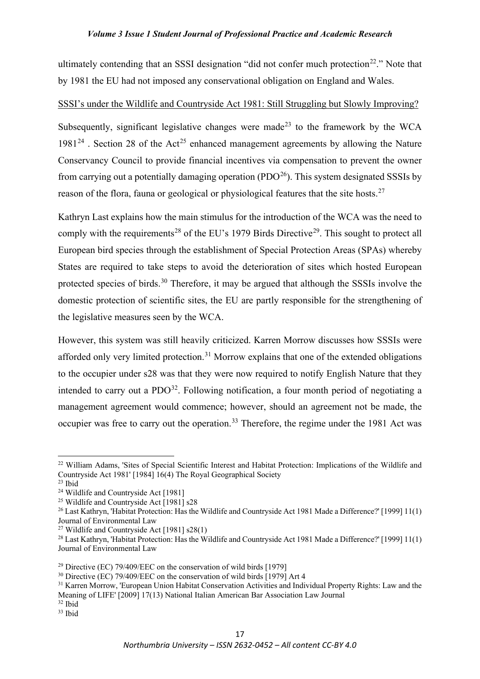ultimately contending that an SSSI designation "did not confer much protection<sup>22</sup>." Note that by 1981 the EU had not imposed any conservational obligation on England and Wales.

# SSSI's under the Wildlife and Countryside Act 1981: Still Struggling but Slowly Improving?

Subsequently, significant legislative changes were made<sup>[23](#page-3-1)</sup> to the framework by the WCA  $1981^{24}$  $1981^{24}$  $1981^{24}$ . Section 28 of the Act<sup>[25](#page-3-3)</sup> enhanced management agreements by allowing the Nature Conservancy Council to provide financial incentives via compensation to prevent the owner from carrying out a potentially damaging operation  $( PDO<sup>26</sup>)$ . This system designated SSSIs by reason of the flora, fauna or geological or physiological features that the site hosts.<sup>[27](#page-3-5)</sup>

Kathryn Last explains how the main stimulus for the introduction of the WCA was the need to comply with the requirements<sup>[28](#page-3-6)</sup> of the EU's 1979 Birds Directive<sup>[29](#page-3-7)</sup>. This sought to protect all European bird species through the establishment of Special Protection Areas (SPAs) whereby States are required to take steps to avoid the deterioration of sites which hosted European protected species of birds.[30](#page-3-8) Therefore, it may be argued that although the SSSIs involve the domestic protection of scientific sites, the EU are partly responsible for the strengthening of the legislative measures seen by the WCA.

However, this system was still heavily criticized. Karren Morrow discusses how SSSIs were afforded only very limited protection.[31](#page-3-9) Morrow explains that one of the extended obligations to the occupier under s28 was that they were now required to notify English Nature that they intended to carry out a  $PDO<sup>32</sup>$ . Following notification, a four month period of negotiating a management agreement would commence; however, should an agreement not be made, the occupier was free to carry out the operation.<sup>[33](#page-3-11)</sup> Therefore, the regime under the 1981 Act was

<span id="page-3-11"></span><sup>33</sup> Ibid

<span id="page-3-0"></span><sup>&</sup>lt;sup>22</sup> William Adams, 'Sites of Special Scientific Interest and Habitat Protection: Implications of the Wildlife and Countryside Act 1981' [1984] 16(4) The Royal Geographical Society

<span id="page-3-1"></span><sup>23</sup> Ibid

<span id="page-3-2"></span><sup>&</sup>lt;sup>24</sup> Wildlife and Countryside Act [1981]

<span id="page-3-3"></span><sup>&</sup>lt;sup>25</sup> Wildlife and Countryside Act  $\overline{[1981]}$  s28

<span id="page-3-4"></span><sup>&</sup>lt;sup>26</sup> Last Kathryn, 'Habitat Protection: Has the Wildlife and Countryside Act 1981 Made a Difference?' [1999] 11(1) Journal of Environmental Law

<span id="page-3-5"></span><sup>27</sup> Wildlife and Countryside Act [1981] s28(1)

<span id="page-3-6"></span><sup>&</sup>lt;sup>28</sup> Last Kathryn, 'Habitat Protection: Has the Wildlife and Countryside Act 1981 Made a Difference?' [1999] 11(1) Journal of Environmental Law

<span id="page-3-7"></span><sup>&</sup>lt;sup>29</sup> Directive (EC) 79/409/EEC on the conservation of wild birds [1979]

<span id="page-3-8"></span><sup>&</sup>lt;sup>30</sup> Directive (EC) 79/409/EEC on the conservation of wild birds [1979] Art 4

<span id="page-3-9"></span><sup>&</sup>lt;sup>31</sup> Karren Morrow, 'European Union Habitat Conservation Activities and Individual Property Rights: Law and the Meaning of LIFE' [2009] 17(13) National Italian American Bar Association Law Journal

<span id="page-3-10"></span> $32$  Ibid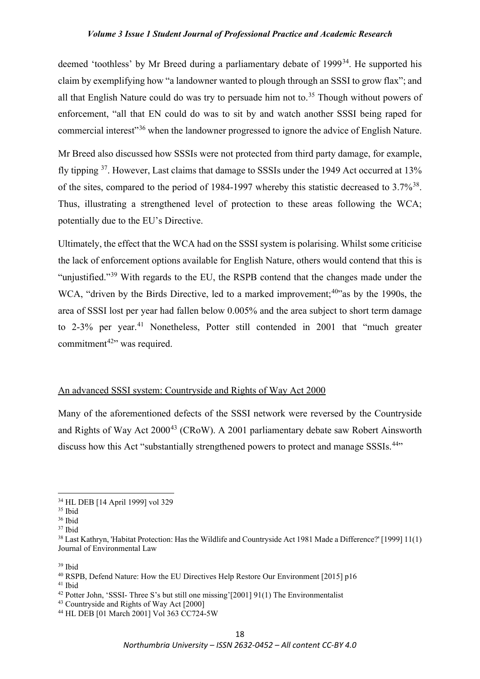deemed 'toothless' by Mr Breed during a parliamentary debate of 1999<sup>34</sup>. He supported his claim by exemplifying how "a landowner wanted to plough through an SSSI to grow flax"; and all that English Nature could do was try to persuade him not to.<sup>[35](#page-4-1)</sup> Though without powers of enforcement, "all that EN could do was to sit by and watch another SSSI being raped for commercial interest"[36](#page-4-2) when the landowner progressed to ignore the advice of English Nature.

Mr Breed also discussed how SSSIs were not protected from third party damage, for example, fly tipping [37](#page-4-3). However, Last claims that damage to SSSIs under the 1949 Act occurred at 13% of the sites, compared to the period of 1984-1997 whereby this statistic decreased to 3.7%<sup>[38](#page-4-4)</sup>. Thus, illustrating a strengthened level of protection to these areas following the WCA; potentially due to the EU's Directive.

Ultimately, the effect that the WCA had on the SSSI system is polarising. Whilst some criticise the lack of enforcement options available for English Nature, others would contend that this is "unjustified."<sup>[39](#page-4-5)</sup> With regards to the EU, the RSPB contend that the changes made under the WCA, "driven by the Birds Directive, led to a marked improvement;<sup>[40](#page-4-6)</sup>" as by the 1990s, the area of SSSI lost per year had fallen below 0.005% and the area subject to short term damage to 2-3% per year.<sup>[41](#page-4-7)</sup> Nonetheless, Potter still contended in 2001 that "much greater commitment<sup> $42$ </sup>" was required.

#### An advanced SSSI system: Countryside and Rights of Way Act 2000

Many of the aforementioned defects of the SSSI network were reversed by the Countryside and Rights of Way Act 2000<sup>[43](#page-4-9)</sup> (CRoW). A 2001 parliamentary debate saw Robert Ainsworth discuss how this Act "substantially strengthened powers to protect and manage SSSIs.<sup>[44](#page-4-10)</sup>"

<span id="page-4-0"></span><sup>34</sup> HL DEB [14 April 1999] vol 329

<span id="page-4-1"></span><sup>35</sup> Ibid

<span id="page-4-2"></span><sup>36</sup> Ibid

<span id="page-4-3"></span><sup>37</sup> Ibid

<span id="page-4-4"></span><sup>&</sup>lt;sup>38</sup> Last Kathryn, 'Habitat Protection: Has the Wildlife and Countryside Act 1981 Made a Difference?' [1999] 11(1) Journal of Environmental Law

<span id="page-4-5"></span><sup>39</sup> Ibid

<span id="page-4-6"></span><sup>&</sup>lt;sup>40</sup> RSPB, Defend Nature: How the EU Directives Help Restore Our Environment [2015] p16

<span id="page-4-7"></span><sup>41</sup> Ibid

<span id="page-4-8"></span><sup>42</sup> Potter John, 'SSSI- Three S's but still one missing'[2001] 91(1) The Environmentalist

<span id="page-4-9"></span><sup>43</sup> Countryside and Rights of Way Act [2000]

<span id="page-4-10"></span><sup>44</sup> HL DEB [01 March 2001] Vol 363 CC724-5W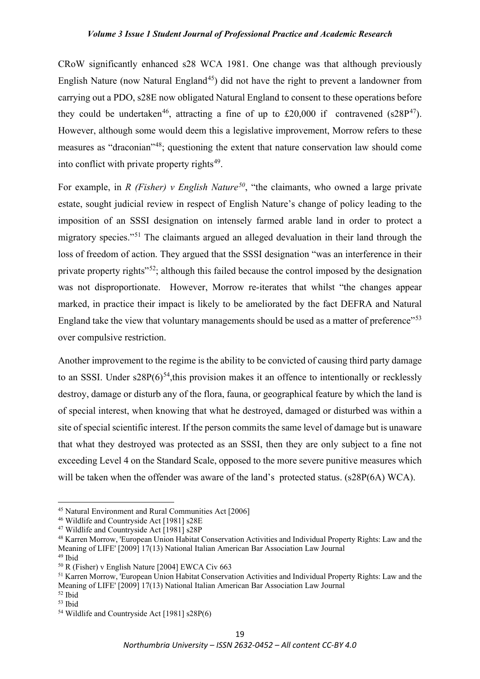CRoW significantly enhanced s28 WCA 1981. One change was that although previously English Nature (now Natural England<sup>45</sup>) did not have the right to prevent a landowner from carrying out a PDO, s28E now obligated Natural England to consent to these operations before they could be undertaken<sup>46</sup>, attracting a fine of up to £20,000 if contravened (s28P<sup>[47](#page-5-2)</sup>). However, although some would deem this a legislative improvement, Morrow refers to these measures as "draconian"[48;](#page-5-3) questioning the extent that nature conservation law should come into conflict with private property rights<sup> $49$ </sup>.

For example, in *R (Fisher) v English Nature[50](#page-5-5)*, "the claimants, who owned a large private estate, sought judicial review in respect of English Nature's change of policy leading to the imposition of an SSSI designation on intensely farmed arable land in order to protect a migratory species."[51](#page-5-6) The claimants argued an alleged devaluation in their land through the loss of freedom of action. They argued that the SSSI designation "was an interference in their private property rights"[52](#page-5-7); although this failed because the control imposed by the designation was not disproportionate. However, Morrow re-iterates that whilst "the changes appear marked, in practice their impact is likely to be ameliorated by the fact DEFRA and Natural England take the view that voluntary managements should be used as a matter of preference"<sup>[53](#page-5-8)</sup> over compulsive restriction.

Another improvement to the regime is the ability to be convicted of causing third party damage to an SSSI. Under  $s28P(6)^{54}$ , this provision makes it an offence to intentionally or recklessly destroy, damage or disturb any of the flora, fauna, or geographical feature by which the land is of special interest, when knowing that what he destroyed, damaged or disturbed was within a site of special scientific interest. If the person commits the same level of damage but is unaware that what they destroyed was protected as an SSSI, then they are only subject to a fine not exceeding Level 4 on the Standard Scale, opposed to the more severe punitive measures which will be taken when the offender was aware of the land's protected status. (s28P(6A) WCA).

<span id="page-5-1"></span><span id="page-5-0"></span><sup>45</sup> Natural Environment and Rural Communities Act [2006] 46 Wildlife and Countryside Act [1981] s28E

<span id="page-5-2"></span><sup>&</sup>lt;sup>47</sup> Wildlife and Countryside Act [1981] s28P

<span id="page-5-3"></span><sup>48</sup> Karren Morrow, 'European Union Habitat Conservation Activities and Individual Property Rights: Law and the Meaning of LIFE' [2009] 17(13) National Italian American Bar Association Law Journal

<span id="page-5-4"></span><sup>49</sup> Ibid

<span id="page-5-5"></span><sup>50</sup> R (Fisher) v English Nature [2004] EWCA Civ 663

<span id="page-5-6"></span><sup>&</sup>lt;sup>51</sup> Karren Morrow, 'European Union Habitat Conservation Activities and Individual Property Rights: Law and the Meaning of LIFE' [2009] 17(13) National Italian American Bar Association Law Journal

<span id="page-5-7"></span><sup>52</sup> Ibid

<span id="page-5-8"></span><sup>53</sup> Ibid

<span id="page-5-9"></span><sup>54</sup> Wildlife and Countryside Act [1981] s28P(6)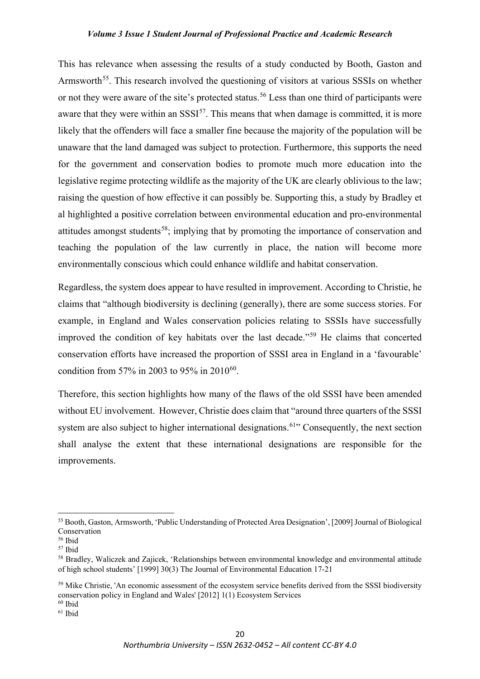This has relevance when assessing the results of a study conducted by Booth, Gaston and Armsworth<sup>[55](#page-6-0)</sup>. This research involved the questioning of visitors at various SSSIs on whether or not they were aware of the site's protected status.<sup>[56](#page-6-1)</sup> Less than one third of participants were aware that they were within an  $SSSI^{57}$  $SSSI^{57}$  $SSSI^{57}$ . This means that when damage is committed, it is more likely that the offenders will face a smaller fine because the majority of the population will be unaware that the land damaged was subject to protection. Furthermore, this supports the need for the government and conservation bodies to promote much more education into the legislative regime protecting wildlife as the majority of the UK are clearly oblivious to the law; raising the question of how effective it can possibly be. Supporting this, a study by Bradley et al highlighted a positive correlation between environmental education and pro-environmental attitudes amongst students<sup>[58](#page-6-3)</sup>; implying that by promoting the importance of conservation and teaching the population of the law currently in place, the nation will become more environmentally conscious which could enhance wildlife and habitat conservation.

Regardless, the system does appear to have resulted in improvement. According to Christie, he claims that "although biodiversity is declining (generally), there are some success stories. For example, in England and Wales conservation policies relating to SSSIs have successfully improved the condition of key habitats over the last decade."[59](#page-6-4) He claims that concerted conservation efforts have increased the proportion of SSSI area in England in a 'favourable' condition from 57% in 2003 to 95% in 2010<sup>[60](#page-6-5)</sup>.

Therefore, this section highlights how many of the flaws of the old SSSI have been amended without EU involvement. However, Christie does claim that "around three quarters of the SSSI system are also subject to higher international designations.<sup>[61](#page-6-6)</sup> Consequently, the next section shall analyse the extent that these international designations are responsible for the improvements.

<span id="page-6-0"></span><sup>55</sup> Booth, Gaston, Armsworth, 'Public Understanding of Protected Area Designation', [2009] Journal of Biological Conservation

<span id="page-6-1"></span><sup>56</sup> Ibid

<span id="page-6-2"></span><sup>57</sup> Ibid

<span id="page-6-3"></span><sup>58</sup> Bradley, Waliczek and Zajicek, 'Relationships between environmental knowledge and environmental attitude of high school students' [1999] 30(3) The Journal of Environmental Education 17-21

<span id="page-6-4"></span><sup>&</sup>lt;sup>59</sup> Mike Christie, 'An economic assessment of the ecosystem service benefits derived from the SSSI biodiversity conservation policy in England and Wales' [2012] 1(1) Ecosystem Services

<span id="page-6-5"></span> $60$  Ibid

<span id="page-6-6"></span><sup>61</sup> Ibid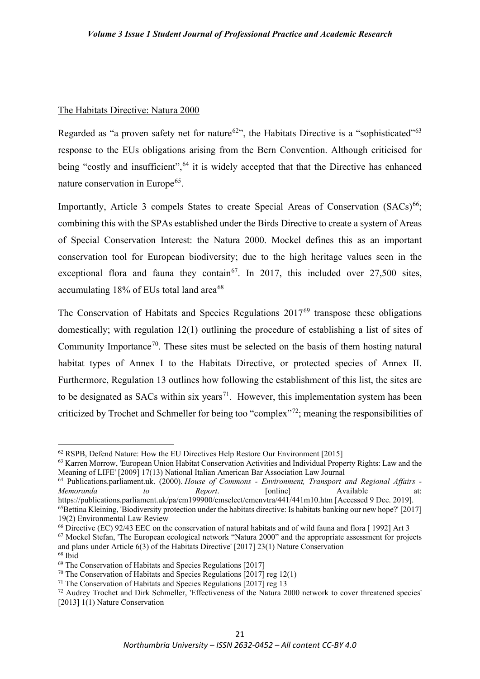#### The Habitats Directive: Natura 2000

Regarded as "a proven safety net for nature<sup>[62](#page-7-0)</sup>", the Habitats Directive is a "sophisticated"<sup>[63](#page-7-1)</sup> response to the EUs obligations arising from the Bern Convention. Although criticised for being "costly and insufficient", <sup>[64](#page-7-2)</sup> it is widely accepted that that the Directive has enhanced nature conservation in Europe<sup>65</sup>.

Importantly, Article 3 compels States to create Special Areas of Conservation  $(SACs)^{66}$  $(SACs)^{66}$  $(SACs)^{66}$ ; combining this with the SPAs established under the Birds Directive to create a system of Areas of Special Conservation Interest: the Natura 2000. Mockel defines this as an important conservation tool for European biodiversity; due to the high heritage values seen in the exceptional flora and fauna they contain<sup>[67](#page-7-5)</sup>. In 2017, this included over  $27,500$  sites, accumulating  $18\%$  of EUs total land area<sup>[68](#page-7-6)</sup>

The Conservation of Habitats and Species Regulations 2017<sup>[69](#page-7-7)</sup> transpose these obligations domestically; with regulation 12(1) outlining the procedure of establishing a list of sites of Community Importance<sup>[70](#page-7-8)</sup>. These sites must be selected on the basis of them hosting natural habitat types of Annex I to the Habitats Directive, or protected species of Annex II. Furthermore, Regulation 13 outlines how following the establishment of this list, the sites are to be designated as SACs within six years<sup>71</sup>. However, this implementation system has been criticized by Trochet and Schmeller for being too "complex"[72](#page-7-10); meaning the responsibilities of

<span id="page-7-0"></span><sup>&</sup>lt;sup>62</sup> RSPB, Defend Nature: How the EU Directives Help Restore Our Environment [2015]

<span id="page-7-1"></span><sup>&</sup>lt;sup>63</sup> Karren Morrow, 'European Union Habitat Conservation Activities and Individual Property Rights: Law and the Meaning of LIFE' [2009] 17(13) National Italian American Bar Association Law Journal

<span id="page-7-2"></span><sup>64</sup> Publications.parliament.uk. (2000). *House of Commons - Environment, Transport and Regional Affairs - Memoranda to Report*. [online] Available at: https://publications.parliament.uk/pa/cm199900/cmselect/cmenvtra/441/441m10.htm [Accessed 9 Dec. 2019].

<span id="page-7-3"></span><sup>&</sup>lt;sup>65</sup>Bettina Kleining, 'Biodiversity protection under the habitats directive: Is habitats banking our new hope?' [2017] 19(2) Environmental Law Review

<span id="page-7-4"></span><sup>66</sup> Directive (EC) 92/43 EEC on the conservation of natural habitats and of wild fauna and flora [ 1992] Art 3

<span id="page-7-5"></span><sup>67</sup> Mockel Stefan, 'The European ecological network "Natura 2000" and the appropriate assessment for projects and plans under Article 6(3) of the Habitats Directive' [2017] 23(1) Nature Conservation <sup>68</sup> Ibid

<span id="page-7-7"></span><span id="page-7-6"></span><sup>69</sup> The Conservation of Habitats and Species Regulations [2017]

<span id="page-7-8"></span><sup>&</sup>lt;sup>70</sup> The Conservation of Habitats and Species Regulations [2017] reg 12(1)

<span id="page-7-9"></span><sup>&</sup>lt;sup>71</sup> The Conservation of Habitats and Species Regulations  $\left[2017\right]$  reg 13

<span id="page-7-10"></span><sup>&</sup>lt;sup>72</sup> Audrey Trochet and Dirk Schmeller, 'Effectiveness of the Natura 2000 network to cover threatened species' [2013] 1(1) Nature Conservation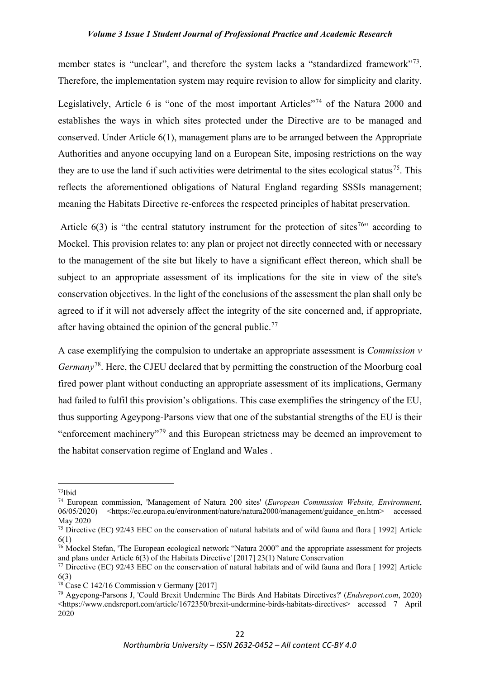member states is "unclear", and therefore the system lacks a "standardized framework"<sup>[73](#page-8-0)</sup>. Therefore, the implementation system may require revision to allow for simplicity and clarity.

Legislatively, Article 6 is "one of the most important Articles"<sup>[74](#page-8-1)</sup> of the Natura 2000 and establishes the ways in which sites protected under the Directive are to be managed and conserved. Under Article 6(1), management plans are to be arranged between the Appropriate Authorities and anyone occupying land on a European Site, imposing restrictions on the way they are to use the land if such activities were detrimental to the sites ecological status<sup>75</sup>. This reflects the aforementioned obligations of Natural England regarding SSSIs management; meaning the Habitats Directive re-enforces the respected principles of habitat preservation.

Article  $6(3)$  is "the central statutory instrument for the protection of sites<sup>76</sup>" according to Mockel. This provision relates to: any plan or project not directly connected with or necessary to the management of the site but likely to have a significant effect thereon, which shall be subject to an appropriate assessment of its implications for the site in view of the site's conservation objectives. In the light of the conclusions of the assessment the plan shall only be agreed to if it will not adversely affect the integrity of the site concerned and, if appropriate, after having obtained the opinion of the general public.<sup>[77](#page-8-4)</sup>

A case exemplifying the compulsion to undertake an appropriate assessment is *Commission v Germany*[78](#page-8-5). Here, the CJEU declared that by permitting the construction of the Moorburg coal fired power plant without conducting an appropriate assessment of its implications, Germany had failed to fulfil this provision's obligations. This case exemplifies the stringency of the EU, thus supporting Ageypong-Parsons view that one of the substantial strengths of the EU is their "enforcement machinery"[79](#page-8-6) and this European strictness may be deemed an improvement to the habitat conservation regime of England and Wales .

<span id="page-8-0"></span><sup>73</sup>Ibid

<span id="page-8-1"></span><sup>74</sup> European commission, 'Management of Natura 200 sites' (*European Commission Website, Environment*, 06/05/2020) <https://ec.europa.eu/environment/nature/natura2000/management/guidance\_en.htm> accessed May 2020

<span id="page-8-2"></span><sup>75</sup> Directive (EC) 92/43 EEC on the conservation of natural habitats and of wild fauna and flora [ 1992] Article 6(1)

<span id="page-8-3"></span><sup>&</sup>lt;sup>76</sup> Mockel Stefan, 'The European ecological network "Natura 2000" and the appropriate assessment for projects and plans under Article 6(3) of the Habitats Directive' [2017] 23(1) Nature Conservation

<span id="page-8-4"></span><sup>77</sup> Directive (EC) 92/43 EEC on the conservation of natural habitats and of wild fauna and flora [ 1992] Article 6(3)

<span id="page-8-5"></span><sup>&</sup>lt;sup>78</sup> Case C 142/16 Commission v Germany [2017]

<span id="page-8-6"></span><sup>79</sup> Agyepong-Parsons J, 'Could Brexit Undermine The Birds And Habitats Directives?' (*Endsreport.com*, 2020) <https://www.endsreport.com/article/1672350/brexit-undermine-birds-habitats-directives> accessed 7 April 2020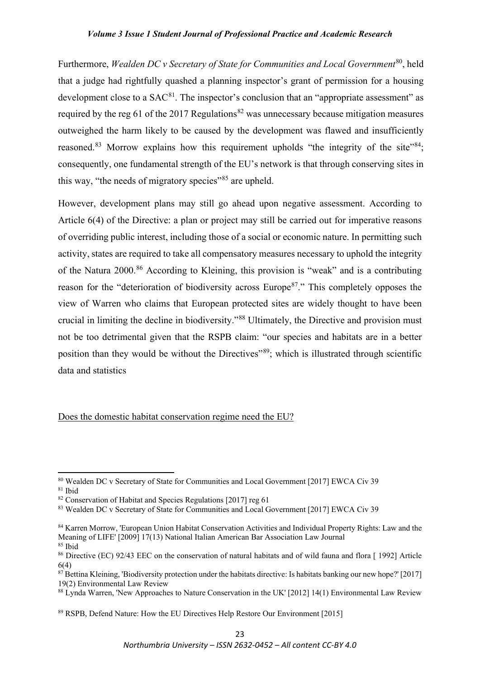Furthermore, *Wealden DC v Secretary of State for Communities and Local Government*[80](#page-9-0), held that a judge had rightfully quashed a planning inspector's grant of permission for a housing development close to a  $SAC^{81}$  $SAC^{81}$  $SAC^{81}$ . The inspector's conclusion that an "appropriate assessment" as required by the reg 61 of the 2017 Regulations<sup>[82](#page-9-2)</sup> was unnecessary because mitigation measures outweighed the harm likely to be caused by the development was flawed and insufficiently reasoned.<sup>[83](#page-9-3)</sup> Morrow explains how this requirement upholds "the integrity of the site"<sup>[84](#page-9-4)</sup>; consequently, one fundamental strength of the EU's network is that through conserving sites in this way, "the needs of migratory species"<sup>[85](#page-9-5)</sup> are upheld.

However, development plans may still go ahead upon negative assessment. According to Article 6(4) of the Directive: a plan or project may still be carried out for imperative reasons of overriding public interest, including those of a social or economic nature. In permitting such activity, states are required to take all compensatory measures necessary to uphold the integrity of the Natura 2000.[86](#page-9-6) According to Kleining, this provision is "weak" and is a contributing reason for the "deterioration of biodiversity across Europe<sup>87</sup>." This completely opposes the view of Warren who claims that European protected sites are widely thought to have been crucial in limiting the decline in biodiversity."[88](#page-9-8) Ultimately, the Directive and provision must not be too detrimental given that the RSPB claim: "our species and habitats are in a better position than they would be without the Directives<sup>"[89](#page-9-9)</sup>; which is illustrated through scientific data and statistics

Does the domestic habitat conservation regime need the EU?

<span id="page-9-0"></span><sup>80</sup> Wealden DC v Secretary of State for Communities and Local Government [2017] EWCA Civ 39 <sup>81</sup> Ibid

<span id="page-9-2"></span><span id="page-9-1"></span><sup>&</sup>lt;sup>82</sup> Conservation of Habitat and Species Regulations [2017] reg 61

<span id="page-9-3"></span><sup>83</sup> Wealden DC v Secretary of State for Communities and Local Government [2017] EWCA Civ 39

<span id="page-9-4"></span><sup>84</sup> Karren Morrow, 'European Union Habitat Conservation Activities and Individual Property Rights: Law and the Meaning of LIFE' [2009] 17(13) National Italian American Bar Association Law Journal <sup>85</sup> Ibid

<span id="page-9-6"></span><span id="page-9-5"></span><sup>&</sup>lt;sup>86</sup> Directive (EC) 92/43 EEC on the conservation of natural habitats and of wild fauna and flora [1992] Article 6(4)

<span id="page-9-7"></span> $87$  Bettina Kleining, 'Biodiversity protection under the habitats directive: Is habitats banking our new hope?' [2017] 19(2) Environmental Law Review

<span id="page-9-8"></span><sup>88</sup> Lynda Warren, 'New Approaches to Nature Conservation in the UK' [2012] 14(1) Environmental Law Review

<span id="page-9-9"></span><sup>89</sup> RSPB, Defend Nature: How the EU Directives Help Restore Our Environment [2015]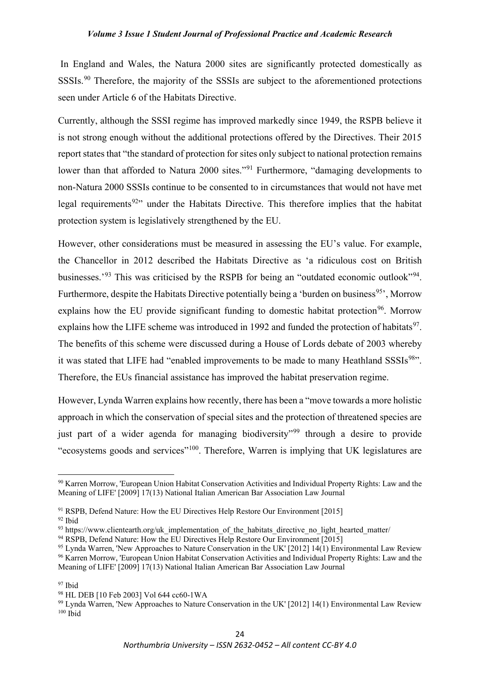In England and Wales, the Natura 2000 sites are significantly protected domestically as SSSIs.[90](#page-10-0) Therefore, the majority of the SSSIs are subject to the aforementioned protections seen under Article 6 of the Habitats Directive.

Currently, although the SSSI regime has improved markedly since 1949, the RSPB believe it is not strong enough without the additional protections offered by the Directives. Their 2015 report states that "the standard of protection for sites only subject to national protection remains lower than that afforded to Natura 2000 sites."<sup>[91](#page-10-1)</sup> Furthermore, "damaging developments to non-Natura 2000 SSSIs continue to be consented to in circumstances that would not have met legal requirements<sup>92</sup>" under the Habitats Directive. This therefore implies that the habitat protection system is legislatively strengthened by the EU.

However, other considerations must be measured in assessing the EU's value. For example, the Chancellor in 2012 described the Habitats Directive as 'a ridiculous cost on British businesses.<sup>'[93](#page-10-3)</sup> This was criticised by the RSPB for being an "outdated economic outlook"<sup>[94](#page-10-4)</sup>. Furthermore, despite the Habitats Directive potentially being a 'burden on business<sup>95</sup>', Morrow explains how the EU provide significant funding to domestic habitat protection<sup>[96](#page-10-6)</sup>. Morrow explains how the LIFE scheme was introduced in 1992 and funded the protection of habitats<sup>[97](#page-10-7)</sup>. The benefits of this scheme were discussed during a House of Lords debate of 2003 whereby it was stated that LIFE had "enabled improvements to be made to many Heathland SSSIs<sup>98</sup>". Therefore, the EUs financial assistance has improved the habitat preservation regime.

However, Lynda Warren explains how recently, there has been a "move towards a more holistic approach in which the conservation of special sites and the protection of threatened species are just part of a wider agenda for managing biodiversity"<sup>[99](#page-10-9)</sup> through a desire to provide "ecosystems goods and services"[100](#page-10-10). Therefore, Warren is implying that UK legislatures are

<span id="page-10-0"></span><sup>90</sup> Karren Morrow, 'European Union Habitat Conservation Activities and Individual Property Rights: Law and the Meaning of LIFE' [2009] 17(13) National Italian American Bar Association Law Journal

<span id="page-10-1"></span><sup>&</sup>lt;sup>91</sup> RSPB, Defend Nature: How the EU Directives Help Restore Our Environment [2015]

<span id="page-10-2"></span> $92$  Ibid

<span id="page-10-3"></span><sup>93</sup> https://www.clientearth.org/uk\_implementation\_of\_the\_habitats\_directive\_no\_light\_hearted\_matter/

<span id="page-10-4"></span><sup>94</sup> RSPB, Defend Nature: How the EU Directives Help Restore Our Environment [2015]

<span id="page-10-5"></span> $95$  Lynda Warren, 'New Approaches to Nature Conservation in the UK' [2012] 14(1) Environmental Law Review <sup>96</sup> Karren Morrow, 'European Union Habitat Conservation Activities and Individual Property Rights: Law and the

<span id="page-10-6"></span>Meaning of LIFE' [2009] 17(13) National Italian American Bar Association Law Journal

<span id="page-10-7"></span><sup>97</sup> Ibid

<span id="page-10-8"></span><sup>98</sup> HL DEB [10 Feb 2003] Vol 644 cc60-1WA

<span id="page-10-10"></span><span id="page-10-9"></span><sup>&</sup>lt;sup>99</sup> Lynda Warren, 'New Approaches to Nature Conservation in the UK' [2012] 14(1) Environmental Law Review  $100$  Ibid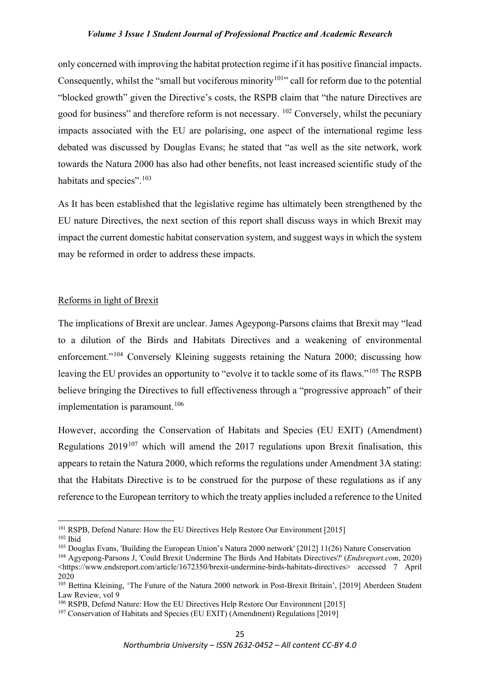only concerned with improving the habitat protection regime if it has positive financial impacts. Consequently, whilst the "small but vociferous minority<sup>[101](#page-11-0)</sup>" call for reform due to the potential "blocked growth" given the Directive's costs, the RSPB claim that "the nature Directives are good for business" and therefore reform is not necessary. <sup>[102](#page-11-1)</sup> Conversely, whilst the pecuniary impacts associated with the EU are polarising, one aspect of the international regime less debated was discussed by Douglas Evans; he stated that "as well as the site network, work towards the Natura 2000 has also had other benefits, not least increased scientific study of the habitats and species".<sup>[103](#page-11-2)</sup>

As It has been established that the legislative regime has ultimately been strengthened by the EU nature Directives, the next section of this report shall discuss ways in which Brexit may impact the current domestic habitat conservation system, and suggest ways in which the system may be reformed in order to address these impacts.

## Reforms in light of Brexit

The implications of Brexit are unclear. James Ageypong-Parsons claims that Brexit may "lead to a dilution of the Birds and Habitats Directives and a weakening of environmental enforcement."<sup>[104](#page-11-3)</sup> Conversely Kleining suggests retaining the Natura 2000; discussing how leaving the EU provides an opportunity to "evolve it to tackle some of its flaws."<sup>[105](#page-11-4)</sup> The RSPB believe bringing the Directives to full effectiveness through a "progressive approach" of their implementation is paramount.<sup>[106](#page-11-5)</sup>

However, according the Conservation of Habitats and Species (EU EXIT) (Amendment) Regulations  $2019^{107}$  $2019^{107}$  $2019^{107}$  which will amend the 2017 regulations upon Brexit finalisation, this appears to retain the Natura 2000, which reforms the regulations under Amendment 3A stating: that the Habitats Directive is to be construed for the purpose of these regulations as if any reference to the European territory to which the treaty applies included a reference to the United

<span id="page-11-0"></span><sup>&</sup>lt;sup>101</sup> RSPB, Defend Nature: How the EU Directives Help Restore Our Environment [2015]

<span id="page-11-1"></span> $102$  Ibid

<span id="page-11-2"></span><sup>103</sup> Douglas Evans, 'Building the European Union's Natura 2000 network' [2012] 11(26) Nature Conservation

<span id="page-11-3"></span><sup>104</sup> Agyepong-Parsons J, 'Could Brexit Undermine The Birds And Habitats Directives?' (*Endsreport.com*, 2020) <https://www.endsreport.com/article/1672350/brexit-undermine-birds-habitats-directives> accessed 7 April 2020

<span id="page-11-4"></span><sup>105</sup> Bettina Kleining, 'The Future of the Natura 2000 network in Post-Brexit Britain', [2019] Aberdeen Student Law Review, vol 9

<sup>&</sup>lt;sup>106</sup> RSPB, Defend Nature: How the EU Directives Help Restore Our Environment [2015]

<span id="page-11-6"></span><span id="page-11-5"></span><sup>&</sup>lt;sup>107</sup> Conservation of Habitats and Species (EU EXIT) (Amendment) Regulations [2019]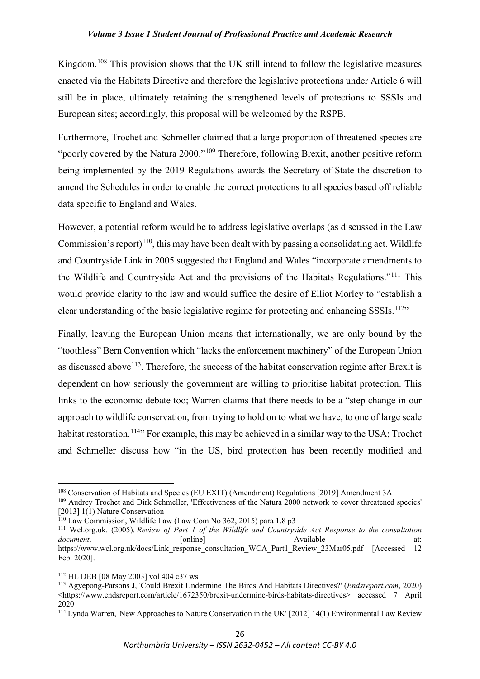Kingdom.<sup>[108](#page-12-0)</sup> This provision shows that the UK still intend to follow the legislative measures enacted via the Habitats Directive and therefore the legislative protections under Article 6 will still be in place, ultimately retaining the strengthened levels of protections to SSSIs and European sites; accordingly, this proposal will be welcomed by the RSPB.

Furthermore, Trochet and Schmeller claimed that a large proportion of threatened species are "poorly covered by the Natura 2000."<sup>[109](#page-12-1)</sup> Therefore, following Brexit, another positive reform being implemented by the 2019 Regulations awards the Secretary of State the discretion to amend the Schedules in order to enable the correct protections to all species based off reliable data specific to England and Wales.

However, a potential reform would be to address legislative overlaps (as discussed in the Law Commission's report)<sup>110</sup>, this may have been dealt with by passing a consolidating act. Wildlife and Countryside Link in 2005 suggested that England and Wales "incorporate amendments to the Wildlife and Countryside Act and the provisions of the Habitats Regulations."[111](#page-12-3) This would provide clarity to the law and would suffice the desire of Elliot Morley to "establish a clear understanding of the basic legislative regime for protecting and enhancing SSSIs.<sup>112</sup>"

Finally, leaving the European Union means that internationally, we are only bound by the "toothless" Bern Convention which "lacks the enforcement machinery" of the European Union as discussed above<sup> $113$ </sup>. Therefore, the success of the habitat conservation regime after Brexit is dependent on how seriously the government are willing to prioritise habitat protection. This links to the economic debate too; Warren claims that there needs to be a "step change in our approach to wildlife conservation, from trying to hold on to what we have, to one of large scale habitat restoration.<sup>[114](#page-12-6)</sup><sup>\*</sup> For example, this may be achieved in a similar way to the USA; Trochet and Schmeller discuss how "in the US, bird protection has been recently modified and

<span id="page-12-0"></span><sup>&</sup>lt;sup>108</sup> Conservation of Habitats and Species (EU EXIT) (Amendment) Regulations [2019] Amendment 3A

<span id="page-12-1"></span><sup>109</sup> Audrey Trochet and Dirk Schmeller, 'Effectiveness of the Natura 2000 network to cover threatened species' [2013] 1(1) Nature Conservation

<span id="page-12-2"></span><sup>110</sup> Law Commission, Wildlife Law (Law Com No 362, 2015) para 1.8 p3

<span id="page-12-3"></span><sup>111</sup> Wcl.org.uk. (2005). *Review of Part 1 of the Wildlife and Countryside Act Response to the consultation document*. **a** [online] **Available** at: https://www.wcl.org.uk/docs/Link\_response\_consultation\_WCA\_Part1\_Review\_23Mar05.pdf [Accessed 12 Feb. 2020].

<span id="page-12-4"></span><sup>112</sup> HL DEB [08 May 2003] vol 404 c37 ws

<span id="page-12-5"></span><sup>113</sup> Agyepong-Parsons J, 'Could Brexit Undermine The Birds And Habitats Directives?' (*Endsreport.com*, 2020) <https://www.endsreport.com/article/1672350/brexit-undermine-birds-habitats-directives> accessed 7 April 2020

<span id="page-12-6"></span><sup>114</sup> Lynda Warren, 'New Approaches to Nature Conservation in the UK' [2012] 14(1) Environmental Law Review